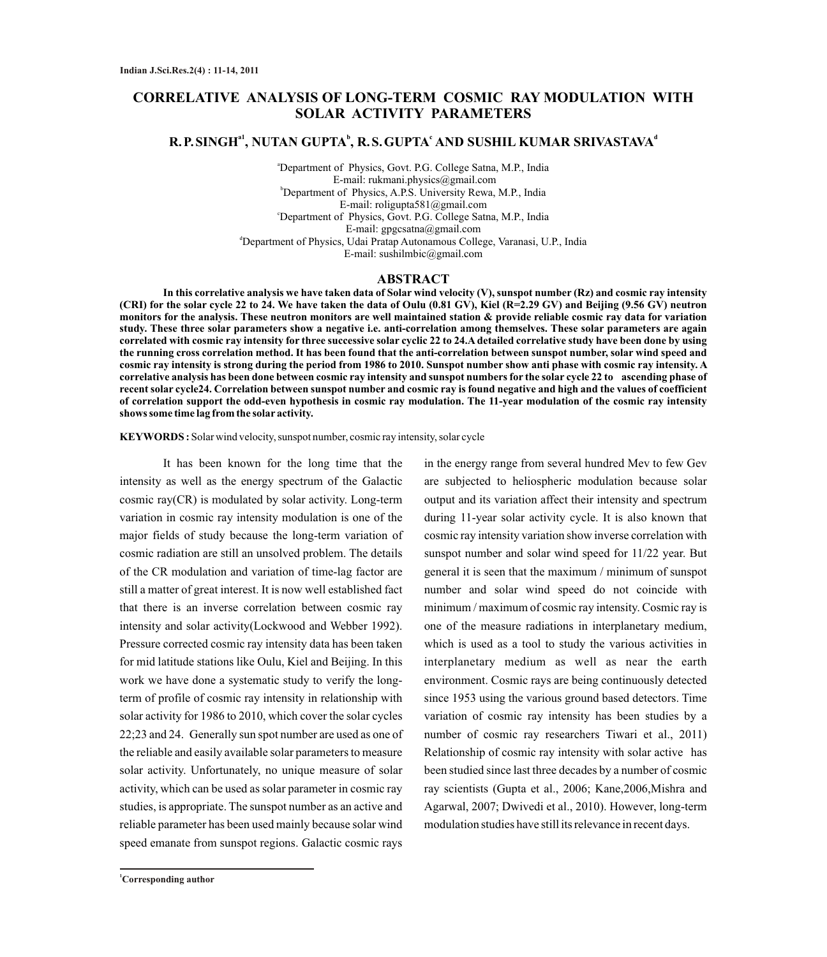# **CORRELATIVE ANALYSIS OF LONG-TERM COSMIC RAY MODULATION WITH SOLAR ACTIVITY PARAMETERS**

### **a1 <sup>b</sup> <sup>c</sup> <sup>d</sup> R.P.SINGH , NUTAN GUPTA , R.S.GUPTA AND SUSHIL KUMAR SRIVASTAVA**

<sup>a</sup>Department of Physics, Govt. P.G. College Satna, M.P., India E-mail: rukmani.physics@gmail.com <sup>b</sup>Department of Physics, A.P.S. University Rewa, M.P., India E-mail: roligupta581@gmail.com <sup>c</sup>Department of Physics, Govt. P.G. College Satna, M.P., India E-mail: gpgcsatna@gmail.com <sup>d</sup>Department of Physics, Udai Pratap Autonamous College, Varanasi, U.P., India E-mail: sushilmbic@gmail.com

#### **ABSTRACT**

**In this correlative analysis we have taken data of Solar wind velocity (V), sunspot number (Rz) and cosmic ray intensity (CRI) for the solar cycle 22 to 24. We have taken the data of Oulu (0.81 GV), Kiel (R=2.29 GV) and Beijing (9.56 GV) neutron monitors for the analysis. These neutron monitors are well maintained station & provide reliable cosmic ray data for variation study. These three solar parameters show a negative i.e. anti-correlation among themselves. These solar parameters are again correlated with cosmic ray intensity for three successive solar cyclic 22 to 24.A detailed correlative study have been done by using the running cross correlation method. It has been found that the anti-correlation between sunspot number, solar wind speed and cosmic ray intensity is strong during the period from 1986 to 2010. Sunspot number show anti phase with cosmic ray intensity. A correlative analysis has been done between cosmic ray intensity and sunspot numbers for the solar cycle 22 to ascending phase of recent solar cycle24. Correlation between sunspot number and cosmic ray is found negative and high and the values of coefficient of correlation support the odd-even hypothesis in cosmic ray modulation. The 11-year modulation of the cosmic ray intensity shows some time lag from the solar activity.** 

**KEYWORDS :** Solar wind velocity, sunspot number, cosmic ray intensity, solar cycle

It has been known for the long time that the intensity as well as the energy spectrum of the Galactic cosmic ray(CR) is modulated by solar activity. Long-term variation in cosmic ray intensity modulation is one of the major fields of study because the long-term variation of cosmic radiation are still an unsolved problem. The details of the CR modulation and variation of time-lag factor are still a matter of great interest. It is now well established fact that there is an inverse correlation between cosmic ray intensity and solar activity(Lockwood and Webber 1992). Pressure corrected cosmic ray intensity data has been taken for mid latitude stations like Oulu, Kiel and Beijing. In this work we have done a systematic study to verify the longterm of profile of cosmic ray intensity in relationship with solar activity for 1986 to 2010, which cover the solar cycles 22;23 and 24. Generally sun spot number are used as one of the reliable and easily available solar parameters to measure solar activity. Unfortunately, no unique measure of solar activity, which can be used as solar parameter in cosmic ray studies, is appropriate. The sunspot number as an active and reliable parameter has been used mainly because solar wind speed emanate from sunspot regions. Galactic cosmic rays

in the energy range from several hundred Mev to few Gev are subjected to heliospheric modulation because solar output and its variation affect their intensity and spectrum during 11-year solar activity cycle. It is also known that cosmic ray intensity variation show inverse correlation with sunspot number and solar wind speed for 11/22 year. But general it is seen that the maximum / minimum of sunspot number and solar wind speed do not coincide with minimum / maximum of cosmic ray intensity. Cosmic ray is one of the measure radiations in interplanetary medium, which is used as a tool to study the various activities in interplanetary medium as well as near the earth environment. Cosmic rays are being continuously detected since 1953 using the various ground based detectors. Time variation of cosmic ray intensity has been studies by a number of cosmic ray researchers Tiwari et al., 2011) Relationship of cosmic ray intensity with solar active has been studied since last three decades by a number of cosmic ray scientists (Gupta et al., 2006; Kane,2006,Mishra and Agarwal, 2007; Dwivedi et al., 2010). However, long-term modulation studies have still its relevance in recent days.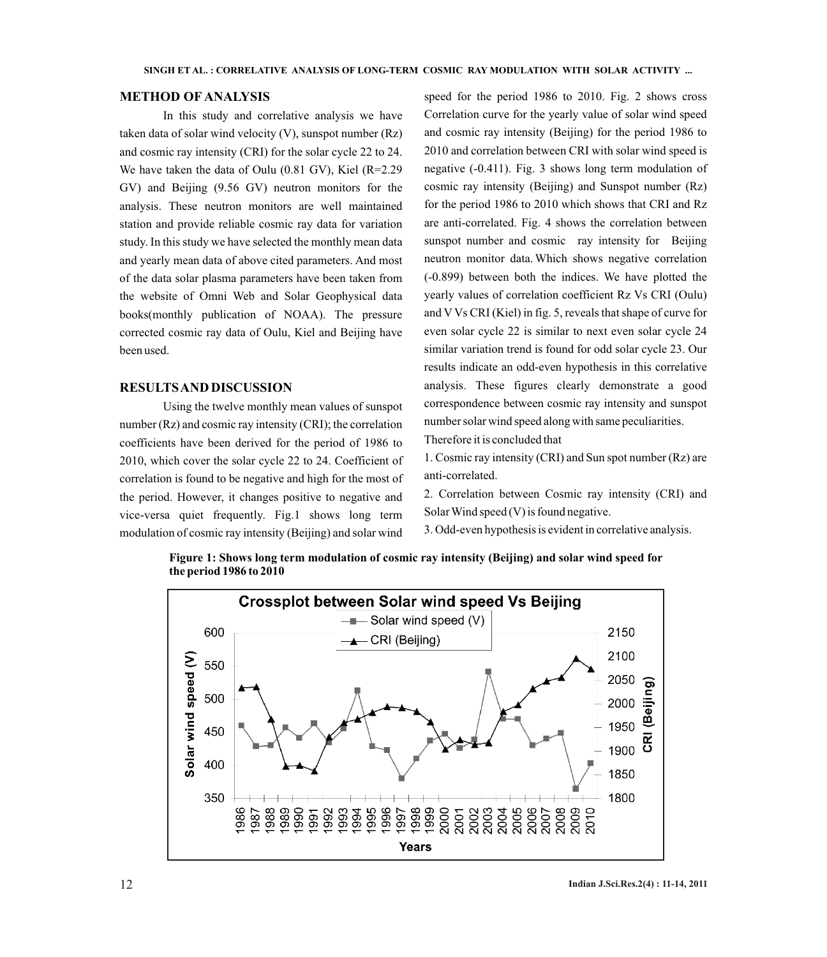### **METHOD OF ANALYSIS**

In this study and correlative analysis we have taken data of solar wind velocity (V), sunspot number (Rz) and cosmic ray intensity (CRI) for the solar cycle 22 to 24. We have taken the data of Oulu (0.81 GV), Kiel (R=2.29 GV) and Beijing (9.56 GV) neutron monitors for the analysis. These neutron monitors are well maintained station and provide reliable cosmic ray data for variation study. In this study we have selected the monthly mean data and yearly mean data of above cited parameters. And most of the data solar plasma parameters have been taken from the website of Omni Web and Solar Geophysical data books(monthly publication of NOAA). The pressure corrected cosmic ray data of Oulu, Kiel and Beijing have been used.

#### **RESULTS AND DISCUSSION**

Using the twelve monthly mean values of sunspot number (Rz) and cosmic ray intensity (CRI); the correlation coefficients have been derived for the period of 1986 to 2010, which cover the solar cycle 22 to 24. Coefficient of correlation is found to be negative and high for the most of the period. However, it changes positive to negative and vice-versa quiet frequently. Fig.1 shows long term modulation of cosmic ray intensity (Beijing) and solar wind

speed for the period 1986 to 2010. Fig. 2 shows cross Correlation curve for the yearly value of solar wind speed and cosmic ray intensity (Beijing) for the period 1986 to 2010 and correlation between CRI with solar wind speed is negative (-0.411). Fig. 3 shows long term modulation of cosmic ray intensity (Beijing) and Sunspot number (Rz) for the period 1986 to 2010 which shows that CRI and Rz are anti-correlated. Fig. 4 shows the correlation between sunspot number and cosmic ray intensity for Beijing neutron monitor data. Which shows negative correlation (-0.899) between both the indices. We have plotted the yearly values of correlation coefficient Rz Vs CRI (Oulu) and V Vs CRI (Kiel) in fig. 5, reveals that shape of curve for even solar cycle 22 is similar to next even solar cycle 24 similar variation trend is found for odd solar cycle 23. Our results indicate an odd-even hypothesis in this correlative analysis. These figures clearly demonstrate a good correspondence between cosmic ray intensity and sunspot number solar wind speed along with same peculiarities.

Therefore it is concluded that

1. Cosmic ray intensity (CRI) and Sun spot number (Rz) are anti-correlated.

2. Correlation between Cosmic ray intensity (CRI) and Solar Wind speed (V) is found negative.

3. Odd-even hypothesis is evident in correlative analysis.



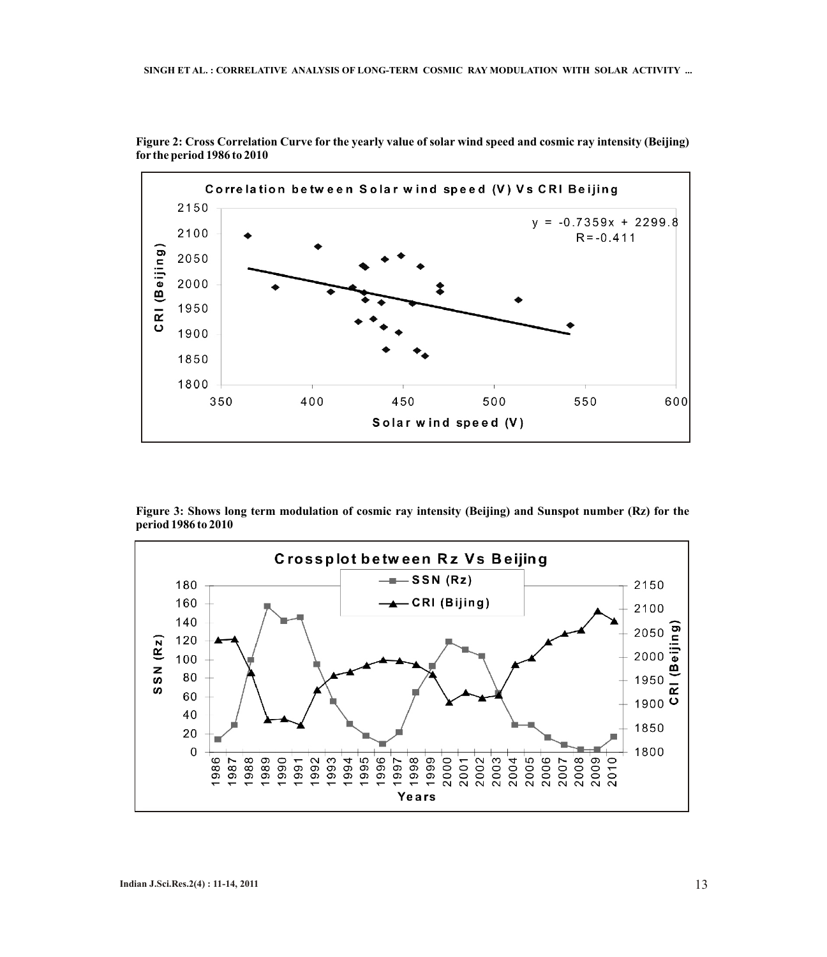

**Figure 2: Cross Correlation Curve for the yearly value of solar wind speed and cosmic ray intensity (Beijing) for the period 1986 to 2010** 

**Figure 3: Shows long term modulation of cosmic ray intensity (Beijing) and Sunspot number (Rz) for the period 1986 to 2010**